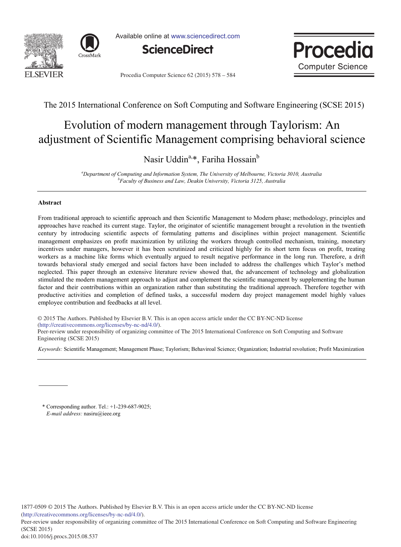



Available online at www.sciencedirect.com





Procedia Computer Science 62 (2015) 578 - 584

## The 2015 International Conference on Soft Computing and Software Engineering (SCSE 2015)

# Evolution of modern management through Taylorism: An adjustment of Scientific Management comprising behavioral science

Nasir Uddin<sup>a,\*</sup>, Fariha Hossain<sup>b</sup>

<sup>a</sup> Department of Computing and Information System, The University of Melbourne, Victoria 3010, Australia *b* Easy by Caroline of Pusiness and Law Doskin University Victoria 2125, Australia *Faculty of Business and Law, Deakin University, Victoria 3125, Australia* 

## **Abstract**

From traditional approach to scientific approach and then Scientific Management to Modern phase; methodology, principles and approaches have reached its current stage. Taylor, the originator of scientific management brought a revolution in the twentieth century by introducing scientific aspects of formulating patterns and disciplines within project management. Scientific management emphasizes on profit maximization by utilizing the workers through controlled mechanism, training, monetary incentives under managers, however it has been scrutinized and criticized highly for its short term focus on profit, treating workers as a machine like forms which eventually argued to result negative performance in the long run. Therefore, a drift towards behavioral study emerged and social factors have been included to address the challenges which Taylor's method neglected. This paper through an extensive literature review showed that, the advancement of technology and globalization stimulated the modern management approach to adjust and complement the scientific management by supplementing the human factor and their contributions within an organization rather than substituting the traditional approach. Therefore together with productive activities and completion of defined tasks, a successful modern day project management model highly values employee contribution and feedbacks at all level.

© 2015 The Authors. Published by Elsevier B.V. © 2015 The Authors. Published by Elsevier B.V. This is an open access article under the CC BY-NC-ND license (http://creativecommons.org/licenses/by-nc-nd/4.0/).

Peer-review under responsibility of organizing committee of The 2015 International Conference on Soft Computing and Software Engineering (SCSE 2015)

*Keywords:* Scientific Management; Management Phase; Taylorism; Behaviroal Science; Organization; Industrial revolution; Profit Maximization

\* Corresponding author. Tel.: +1-239-687-9025; *E-mail address:* nasiru@ieee.org

1877-0509 © 2015 The Authors. Published by Elsevier B.V. This is an open access article under the CC BY-NC-ND license (http://creativecommons.org/licenses/by-nc-nd/4.0/).

Peer-review under responsibility of organizing committee of The 2015 International Conference on Soft Computing and Software Engineering (SCSE 2015)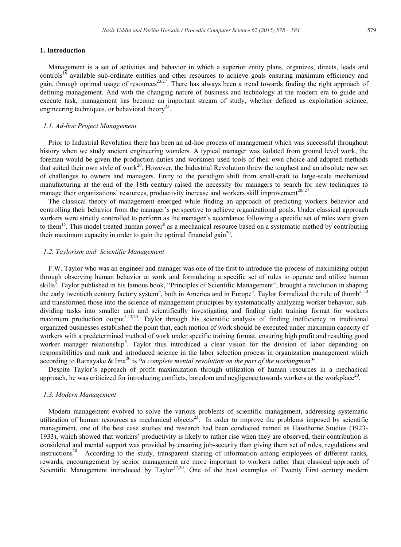## **1. Introduction**

Management is a set of activities and behavior in which a superior entity plans, organizes, directs, leads and controls<sup>16</sup> available sub-ordinate entities and other resources to achieve goals ensuring maximum efficiency and gain, through optimal usage of resources<sup>23,27</sup>. There has always been a trend towards finding the right approach of defining management. And with the changing nature of business and technology at the modern era to guide and execute task, management has become an important stream of study, whether defined as exploitation science, engineering techniques, or behavioral theory<sup>25</sup>.

## *1.1. Ad-hoc Project Management*

Prior to Industrial Revolution there has been an ad-hoc process of management which was successful throughout history when we study ancient engineering wonders. A typical manager was isolated from ground level work, the foreman would be given the production duties and workmen used tools of their own choice and adopted methods that suited their own style of work<sup>20</sup>. However, the Industrial Revolution threw the toughest and an absolute new set of challenges to owners and managers. Entry to the paradigm shift from small-craft to large-scale mechanized manufacturing at the end of the 18th century raised the necessity for managers to search for new techniques to manage their organizations' resources, productivity increase and workers skill improvement<sup>20, 27</sup>.

The classical theory of management emerged while finding an approach of predicting workers behavior and controlling their behavior from the manager's perspective to achieve organizational goals. Under classical approach workers were strictly controlled to perform as the manager's accordance following a specific set of rules were given to them<sup>15</sup>. This model treated human power<sup>8</sup> as a mechanical resource based on a systematic method by contributing their maximum capacity in order to gain the optimal financial gain<sup>20</sup>.

## *1.2. Taylorism and Scientific Management*

F.W. Taylor who was an engineer and manager was one of the first to introduce the process of maximizing output through observing human behavior at work and formulating a specific set of rules to operate and utilize human skills<sup>3</sup>. Taylor published in his famous book, "Principles of Scientific Management", brought a revolution in shaping the early twentieth century factory system<sup>6</sup>, both in America and in Europe<sup>3</sup>. Taylor formalized the rule of thumb<sup>5, 13</sup> and transformed those into the science of management principles by systematically analyzing worker behavior, subdividing tasks into smaller unit and scientifically investigating and finding right training format for workers maximum production output<sup>5,13,20</sup>. Taylor through his scientific analysis of finding inefficiency in traditional organized businesses established the point that, each motion of work should be executed under maximum capacity of workers with a predetermined method of work under specific training format, ensuring high profit and resulting good worker manager relationship<sup>3</sup>. Taylor thus introduced a clear vision for the division of labor depending on responsibilities and rank and introduced science in the labor selection process in organization management which according to Ratnayake & Ima20 is *"a complete mental revolution on the part of the workingman"*.

Despite Taylor's approach of profit maximization through utilization of human resources in a mechanical approach, he was criticized for introducing conflicts, boredom and negligence towards workers at the workplace<sup>20</sup>.

#### *1.3. Modern Management*

Modern management evolved to solve the various problems of scientific management, addressing systematic utilization of human resources as mechanical objects<sup>23</sup>. In order to improve the problems imposed by scientific management, one of the best case studies and research had been conducted named as Hawthorne Studies (1923- 1933), which showed that workers' productivity is likely to rather rise when they are observed, their contribution is considered and mental support was provided by ensuring job-security than giving them set of rules, regulations and instructions<sup>20</sup>. According to the study, transparent sharing of information among employees of different ranks, rewards, encouragement by senior management are more important to workers rather than classical approach of Scientific Management introduced by Taylor<sup>17,20</sup>. One of the best examples of Twenty First century modern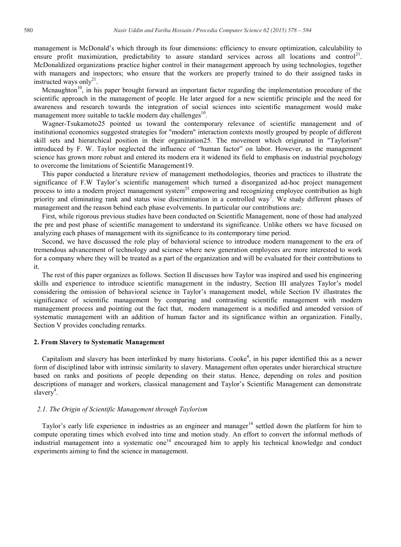management is McDonald's which through its four dimensions: efficiency to ensure optimization, calculability to ensure profit maximization, predictability to assure standard services across all locations and control<sup>21</sup>. McDonaldized organizations practice higher control in their management approach by using technologies, together with managers and inspectors; who ensure that the workers are properly trained to do their assigned tasks in instructed ways only<sup>21</sup>.

Mcnaughton<sup>10</sup>, in his paper brought forward an important factor regarding the implementation procedure of the scientific approach in the management of people. He later argued for a new scientific principle and the need for awareness and research towards the integration of social sciences into scientific management would make management more suitable to tackle modern day challenges $^{10}$ .

Wagner-Tsukamoto25 pointed us toward the contemporary relevance of scientific management and of institutional economics suggested strategies for "modern" interaction contexts mostly grouped by people of different skill sets and hierarchical position in their organization25. The movement which originated in "Taylorism" introduced by F. W. Taylor neglected the influence of "human factor" on labor. However, as the management science has grown more robust and entered its modern era it widened its field to emphasis on industrial psychology to overcome the limitations of Scientific Management19.

This paper conducted a literature review of management methodologies, theories and practices to illustrate the significance of F.W Taylor's scientific management which turned a disorganized ad-hoc project management process to into a modern project management system<sup>25</sup> empowering and recognizing employee contribution as high priority and eliminating rank and status wise discrimination in a controlled way<sup>7</sup>. We study different phases of management and the reason behind each phase evolvements. In particular our contributions are:

First, while rigorous previous studies have been conducted on Scientific Management, none of those had analyzed the pre and post phase of scientific management to understand its significance. Unlike others we have focused on analyzing each phases of management with its significance to its contemporary time period.

Second, we have discussed the role play of behavioral science to introduce modern management to the era of tremendous advancement of technology and science where new generation employees are more interested to work for a company where they will be treated as a part of the organization and will be evaluated for their contributions to it.

The rest of this paper organizes as follows. Section II discusses how Taylor was inspired and used his engineering skills and experience to introduce scientific management in the industry, Section III analyzes Taylor's model considering the omission of behavioral science in Taylor's management model, while Section IV illustrates the significance of scientific management by comparing and contrasting scientific management with modern management process and pointing out the fact that, modern management is a modified and amended version of systematic management with an addition of human factor and its significance within an organization. Finally, Section V provides concluding remarks.

#### **2. From Slavery to Systematic Management**

Capitalism and slavery has been interlinked by many historians. Cooke<sup>4</sup>, in his paper identified this as a newer form of disciplined labor with intrinsic similarity to slavery. Management often operates under hierarchical structure based on ranks and positions of people depending on their status. Hence, depending on roles and position descriptions of manager and workers, classical management and Taylor's Scientific Management can demonstrate slavery<sup>4</sup>.

## *2.1. The Origin of Scientific Management through Taylorism*

Taylor's early life experience in industries as an engineer and manager<sup>14</sup> settled down the platform for him to compute operating times which evolved into time and motion study. An effort to convert the informal methods of industrial management into a systematic one<sup>14</sup> encouraged him to apply his technical knowledge and conduct experiments aiming to find the science in management.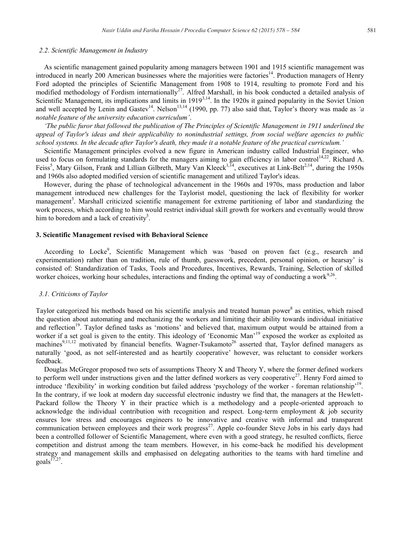## *2.2. Scientific Management in Industry*

As scientific management gained popularity among managers between 1901 and 1915 scientific management was introduced in nearly 200 American businesses where the majorities were factories<sup>14</sup>. Production managers of Henry Ford adopted the principles of Scientific Management from 1908 to 1914, resulting to promote Ford and his modified methodology of Fordism internationally<sup>27</sup>. Alfred Marshall, in his book conducted a detailed analysis of Scientific Management, its implications and limits in 1919<sup>3,14</sup>. In the 1920s it gained popularity in the Soviet Union and well accepted by Lenin and Gastev<sup>14</sup>. Nelson<sup>13,14</sup> (1990, pp. 77) also said that, Taylor's theory was made as 'a *notable feature of the university education curriculum'*.

*'The public furor that followed the publication of The Principles of Scientific Management in 1911 underlined the appeal of Taylor's ideas and their applicability to nonindustrial settings, from social welfare agencies to public school systems. In the decade after Taylor's death, they made it a notable feature of the practical curriculum.'*

Scientific Management principles evolved a new figure in American industry called Industrial Engineer, who used to focus on formulating standards for the managers aiming to gain efficiency in labor control<sup>14,22</sup>. Richard A. Feiss<sup>5</sup>, Mary Gilson, Frank and Lillian Gilbreth, Mary Van Kleeck<sup>1,14</sup>, executives at Link-Belt<sup>2,14</sup>, during the 1950s and 1960s also adopted modified version of scientific management and utilized Taylor's ideas.

However, during the phase of technological advancement in the 1960s and 1970s, mass production and labor management introduced new challenges for the Taylorist model, questioning the lack of flexibility for worker management<sup>3</sup>. Marshall criticized scientific management for extreme partitioning of labor and standardizing the work process, which according to him would restrict individual skill growth for workers and eventually would throw him to boredom and a lack of creativity<sup>3</sup>.

#### **3. Scientific Management revised with Behavioral Science**

According to Locke<sup>9</sup>, Scientific Management which was 'based on proven fact (e.g., research and experimentation) rather than on tradition, rule of thumb, guesswork, precedent, personal opinion, or hearsay' is consisted of: Standardization of Tasks, Tools and Procedures, Incentives, Rewards, Training, Selection of skilled worker choices, working hour schedules, interactions and finding the optimal way of conducting a work<sup>9,26</sup>.

#### *3.1. Criticisms of Taylor*

Taylor categorized his methods based on his scientific analysis and treated human power<sup>8</sup> as entities, which raised the question about automating and mechanizing the workers and limiting their ability towards individual initiative and reflection<sup>19</sup>. Taylor defined tasks as 'motions' and believed that, maximum output would be attained from a worker if a set goal is given to the entity. This ideology of 'Economic Man'19 exposed the worker as exploited as machines $9,11,12$  motivated by financial benefits. Wagner-Tsukamoto<sup>26</sup> asserted that, Taylor defined managers as naturally 'good, as not self-interested and as heartily cooperative' however, was reluctant to consider workers feedback.

Douglas McGregor proposed two sets of assumptions Theory X and Theory Y, where the former defined workers to perform well under instructions given and the latter defined workers as very cooperative<sup>27</sup>. Henry Ford aimed to introduce 'flexibility' in working condition but failed address 'psychology of the worker - foreman relationship'19. In the contrary, if we look at modern day successful electronic industry we find that, the managers at the Hewlett-Packard follow the Theory Y in their practice which is a methodology and a people-oriented approach to acknowledge the individual contribution with recognition and respect. Long-term employment  $\&$  job security ensures low stress and encourages engineers to be innovative and creative with informal and transparent communication between employees and their work progress<sup>27</sup>. Apple co-founder Steve Jobs in his early days had been a controlled follower of Scientific Management, where even with a good strategy, he resulted conflicts, fierce competition and distrust among the team members. However, in his come-back he modified his development strategy and management skills and emphasised on delegating authorities to the teams with hard timeline and goals $17,27$ .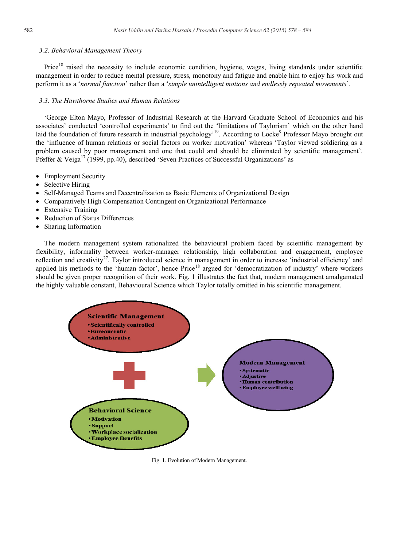## *3.2. Behavioral Management Theory*

Price<sup>18</sup> raised the necessity to include economic condition, hygiene, wages, living standards under scientific management in order to reduce mental pressure, stress, monotony and fatigue and enable him to enjoy his work and perform it as a '*normal function*' rather than a '*simple unintelligent motions and endlessly repeated movements*'.

## *3.3. The Hawthorne Studies and Human Relations*

'George Elton Mayo, Professor of Industrial Research at the Harvard Graduate School of Economics and his associates' conducted 'controlled experiments' to find out the 'limitations of Taylorism' which on the other hand laid the foundation of future research in industrial psychology<sup>19</sup>. According to Locke<sup>9</sup> Professor Mayo brought out the 'influence of human relations or social factors on worker motivation' whereas 'Taylor viewed soldiering as a problem caused by poor management and one that could and should be eliminated by scientific management'. Pfeffer & Veiga<sup>17</sup> (1999, pp.40), described 'Seven Practices of Successful Organizations' as –

- Employment Security
- Selective Hiring
- Self-Managed Teams and Decentralization as Basic Elements of Organizational Design
- Comparatively High Compensation Contingent on Organizational Performance
- **Extensive Training**
- Reduction of Status Differences
- Sharing Information

The modern management system rationalized the behavioural problem faced by scientific management by flexibility, informality between worker-manager relationship, high collaboration and engagement, employee reflection and creativity<sup>27</sup>. Taylor introduced science in management in order to increase 'industrial efficiency' and applied his methods to the 'human factor', hence Price<sup>18</sup> argued for 'democratization of industry' where workers should be given proper recognition of their work. Fig. 1 illustrates the fact that, modern management amalgamated the highly valuable constant, Behavioural Science which Taylor totally omitted in his scientific management.



Fig. 1. Evolution of Modern Management.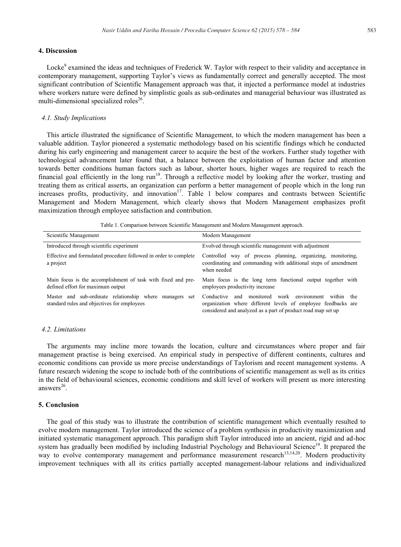## **4. Discussion**

Locke<sup>9</sup> examined the ideas and techniques of Frederick W. Taylor with respect to their validity and acceptance in contemporary management, supporting Taylor's views as fundamentally correct and generally accepted. The most significant contribution of Scientific Management approach was that, it injected a performance model at industries where workers nature were defined by simplistic goals as sub-ordinates and managerial behaviour was illustrated as multi-dimensional specialized roles $^{26}$ .

## *4.1. Study Implications*

This article illustrated the significance of Scientific Management, to which the modern management has been a valuable addition. Taylor pioneered a systematic methodology based on his scientific findings which he conducted during his early engineering and management career to acquire the best of the workers. Further study together with technological advancement later found that, a balance between the exploitation of human factor and attention towards better conditions human factors such as labour, shorter hours, higher wages are required to reach the financial goal efficiently in the long run<sup>18</sup>. Through a reflective model by looking after the worker, trusting and treating them as critical asserts, an organization can perform a better management of people which in the long run increases profits, productivity, and innovation<sup>17</sup>. Table 1 below compares and contrasts between Scientific Management and Modern Management, which clearly shows that Modern Management emphasizes profit maximization through employee satisfaction and contribution.

Table 1. Comparison between Scientific Management and Modern Management approach.

| Scientific Management                                                                                  | Modern Management                                                                                                                                                                                 |
|--------------------------------------------------------------------------------------------------------|---------------------------------------------------------------------------------------------------------------------------------------------------------------------------------------------------|
| Introduced through scientific experiment                                                               | Evolved through scientific management with adjustment                                                                                                                                             |
| Effective and formulated procedure followed in order to complete<br>a project                          | Controlled way of process planning, organizing, monitoring,<br>coordinating and commanding with additional steps of amendment<br>when needed                                                      |
| Main focus is the accomplishment of task with fixed and pre-<br>defined effort for maximum output      | Main focus is the long term functional output together with<br>employees productivity increase                                                                                                    |
| Master and sub-ordinate relationship where managers set<br>standard rules and objectives for employees | monitored work<br>environment<br>and<br>Conductive<br>within the<br>organization where different levels of employee feedbacks are<br>considered and analyzed as a part of product road map set up |

## *4.2. Limitations*

The arguments may incline more towards the location, culture and circumstances where proper and fair management practise is being exercised. An empirical study in perspective of different continents, cultures and economic conditions can provide us more precise understandings of Taylorism and recent management systems. A future research widening the scope to include both of the contributions of scientific management as well as its critics in the field of behavioural sciences, economic conditions and skill level of workers will present us more interesting answers $^{26}$ .

## **5. Conclusion**

The goal of this study was to illustrate the contribution of scientific management which eventually resulted to evolve modern management. Taylor introduced the science of a problem synthesis in productivity maximization and initiated systematic management approach. This paradigm shift Taylor introduced into an ancient, rigid and ad-hoc system has gradually been modified by including Industrial Psychology and Behavioural Science<sup>19</sup>. It prepared the way to evolve contemporary management and performance measurement research<sup>13,14,20</sup>. Modern productivity improvement techniques with all its critics partially accepted management-labour relations and individualized